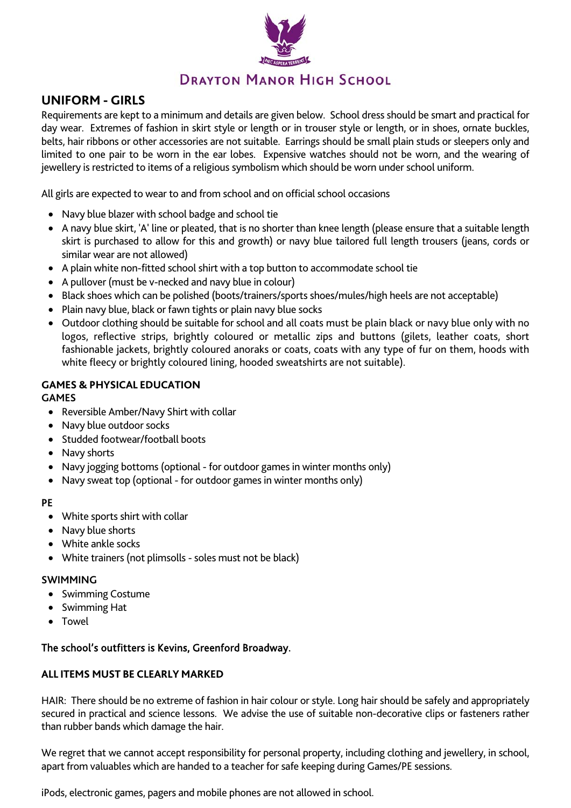

# **UNIFORM - GIRLS** DRAYTON MANOR HIGH SCHOOL

Requirements are kept to a minimum and details are given below. School dress should be smart and practical for day wear. Extremes of fashion in skirt style or length or in trouser style or length, or in shoes, ornate buckles, belts, hair ribbons or other accessories are not suitable. Earrings should be small plain studs or sleepers only and limited to one pair to be worn in the ear lobes. Expensive watches should not be worn, and the wearing of jewellery is restricted to items of a religious symbolism which should be worn under school uniform.

All girls are expected to wear to and from school and on official school occasions

- Navy blue blazer with school badge and school tie
- A navy blue skirt, 'A' line or pleated, that is no shorter than knee length (please ensure that a suitable length skirt is purchased to allow for this and growth) or navy blue tailored full length trousers (jeans, cords or similar wear are not allowed)
- A plain white non-fitted school shirt with a top button to accommodate school tie
- A pullover (must be v-necked and navy blue in colour)
- Black shoes which can be polished (boots/trainers/sports shoes/mules/high heels are not acceptable)
- Plain navy blue, black or fawn tights or plain navy blue socks
- Outdoor clothing should be suitable for school and all coats must be plain black or navy blue only with no logos, reflective strips, brightly coloured or metallic zips and buttons (gilets, leather coats, short fashionable jackets, brightly coloured anoraks or coats, coats with any type of fur on them, hoods with white fleecy or brightly coloured lining, hooded sweatshirts are not suitable).

# **GAMES & PHYSICAL EDUCATION**

**GAMES** 

- Reversible Amber/Navy Shirt with collar
- Navy blue outdoor socks
- Studded footwear/football boots
- Navy shorts
- Navy jogging bottoms (optional for outdoor games in winter months only)
- Navy sweat top (optional for outdoor games in winter months only)

# **PE**

- White sports shirt with collar
- Navy blue shorts
- White ankle socks
- White trainers (not plimsolls soles must not be black)

# **SWIMMING**

- Swimming Costume
- Swimming Hat
- Towel

# The school's outfitters is Kevins, Greenford Broadway.

# **ALL ITEMS MUST BE CLEARLY MARKED**

HAIR: There should be no extreme of fashion in hair colour or style. Long hair should be safely and appropriately secured in practical and science lessons. We advise the use of suitable non-decorative clips or fasteners rather than rubber bands which damage the hair.

We regret that we cannot accept responsibility for personal property, including clothing and jewellery, in school, apart from valuables which are handed to a teacher for safe keeping during Games/PE sessions.

iPods, electronic games, pagers and mobile phones are not allowed in school.